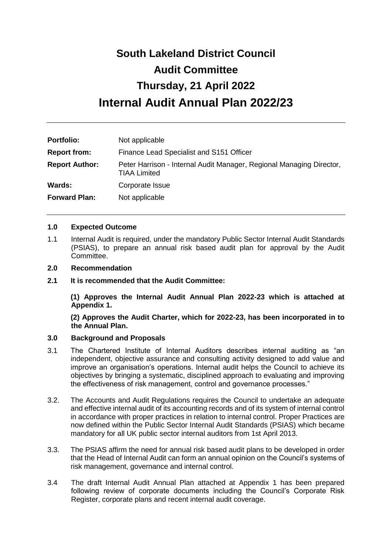# **South Lakeland District Council Audit Committee Thursday, 21 April 2022 Internal Audit Annual Plan 2022/23**

| <b>Portfolio:</b>     | Not applicable                                                                              |  |
|-----------------------|---------------------------------------------------------------------------------------------|--|
| <b>Report from:</b>   | Finance Lead Specialist and S151 Officer                                                    |  |
| <b>Report Author:</b> | Peter Harrison - Internal Audit Manager, Regional Managing Director,<br><b>TIAA Limited</b> |  |
| Wards:                | Corporate Issue                                                                             |  |
| <b>Forward Plan:</b>  | Not applicable                                                                              |  |

#### **1.0 Expected Outcome**

- 1.1 Internal Audit is required, under the mandatory Public Sector Internal Audit Standards (PSIAS), to prepare an annual risk based audit plan for approval by the Audit Committee.
- **2.0 Recommendation**
- **2.1 It is recommended that the Audit Committee:**

**(1) Approves the Internal Audit Annual Plan 2022-23 which is attached at Appendix 1.**

**(2) Approves the Audit Charter, which for 2022-23, has been incorporated in to the Annual Plan.**

## **3.0 Background and Proposals**

- 3.1 The Chartered Institute of Internal Auditors describes internal auditing as "an independent, objective assurance and consulting activity designed to add value and improve an organisation's operations. Internal audit helps the Council to achieve its objectives by bringing a systematic, disciplined approach to evaluating and improving the effectiveness of risk management, control and governance processes."
- 3.2. The Accounts and Audit Regulations requires the Council to undertake an adequate and effective internal audit of its accounting records and of its system of internal control in accordance with proper practices in relation to internal control. Proper Practices are now defined within the Public Sector Internal Audit Standards (PSIAS) which became mandatory for all UK public sector internal auditors from 1st April 2013.
- 3.3. The PSIAS affirm the need for annual risk based audit plans to be developed in order that the Head of Internal Audit can form an annual opinion on the Council's systems of risk management, governance and internal control.
- 3.4 The draft Internal Audit Annual Plan attached at Appendix 1 has been prepared following review of corporate documents including the Council's Corporate Risk Register, corporate plans and recent internal audit coverage.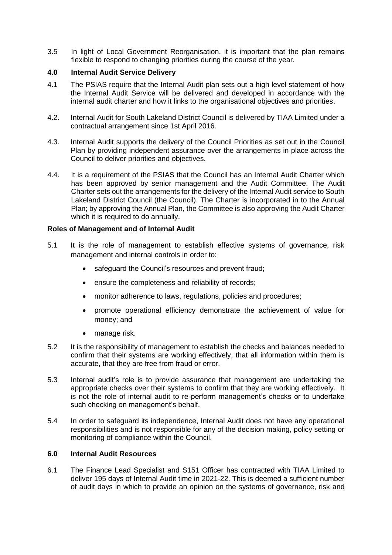3.5 In light of Local Government Reorganisation, it is important that the plan remains flexible to respond to changing priorities during the course of the year.

## **4.0 Internal Audit Service Delivery**

- 4.1 The PSIAS require that the Internal Audit plan sets out a high level statement of how the Internal Audit Service will be delivered and developed in accordance with the internal audit charter and how it links to the organisational objectives and priorities.
- 4.2. Internal Audit for South Lakeland District Council is delivered by TIAA Limited under a contractual arrangement since 1st April 2016.
- 4.3. Internal Audit supports the delivery of the Council Priorities as set out in the Council Plan by providing independent assurance over the arrangements in place across the Council to deliver priorities and objectives.
- 4.4. It is a requirement of the PSIAS that the Council has an Internal Audit Charter which has been approved by senior management and the Audit Committee. The Audit Charter sets out the arrangements for the delivery of the Internal Audit service to South Lakeland District Council (the Council). The Charter is incorporated in to the Annual Plan; by approving the Annual Plan, the Committee is also approving the Audit Charter which it is required to do annually.

#### **Roles of Management and of Internal Audit**

- 5.1 It is the role of management to establish effective systems of governance, risk management and internal controls in order to:
	- safeguard the Council's resources and prevent fraud;
	- ensure the completeness and reliability of records;
	- monitor adherence to laws, regulations, policies and procedures;
	- promote operational efficiency demonstrate the achievement of value for money; and
	- manage risk.
- 5.2 It is the responsibility of management to establish the checks and balances needed to confirm that their systems are working effectively, that all information within them is accurate, that they are free from fraud or error.
- 5.3 Internal audit's role is to provide assurance that management are undertaking the appropriate checks over their systems to confirm that they are working effectively. It is not the role of internal audit to re-perform management's checks or to undertake such checking on management's behalf.
- 5.4 In order to safeguard its independence, Internal Audit does not have any operational responsibilities and is not responsible for any of the decision making, policy setting or monitoring of compliance within the Council.

#### **6.0 Internal Audit Resources**

6.1 The Finance Lead Specialist and S151 Officer has contracted with TIAA Limited to deliver 195 days of Internal Audit time in 2021-22. This is deemed a sufficient number of audit days in which to provide an opinion on the systems of governance, risk and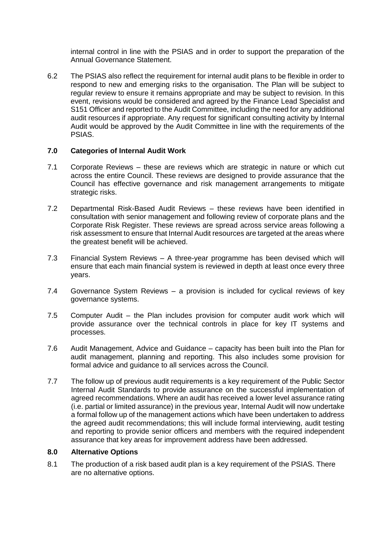internal control in line with the PSIAS and in order to support the preparation of the Annual Governance Statement.

6.2 The PSIAS also reflect the requirement for internal audit plans to be flexible in order to respond to new and emerging risks to the organisation. The Plan will be subject to regular review to ensure it remains appropriate and may be subject to revision. In this event, revisions would be considered and agreed by the Finance Lead Specialist and S151 Officer and reported to the Audit Committee, including the need for any additional audit resources if appropriate. Any request for significant consulting activity by Internal Audit would be approved by the Audit Committee in line with the requirements of the PSIAS.

## **7.0 Categories of Internal Audit Work**

- 7.1 Corporate Reviews these are reviews which are strategic in nature or which cut across the entire Council. These reviews are designed to provide assurance that the Council has effective governance and risk management arrangements to mitigate strategic risks.
- 7.2 Departmental Risk-Based Audit Reviews these reviews have been identified in consultation with senior management and following review of corporate plans and the Corporate Risk Register. These reviews are spread across service areas following a risk assessment to ensure that Internal Audit resources are targeted at the areas where the greatest benefit will be achieved.
- 7.3 Financial System Reviews A three-year programme has been devised which will ensure that each main financial system is reviewed in depth at least once every three years.
- 7.4 Governance System Reviews a provision is included for cyclical reviews of key governance systems.
- 7.5 Computer Audit the Plan includes provision for computer audit work which will provide assurance over the technical controls in place for key IT systems and processes.
- 7.6 Audit Management, Advice and Guidance capacity has been built into the Plan for audit management, planning and reporting. This also includes some provision for formal advice and guidance to all services across the Council.
- 7.7 The follow up of previous audit requirements is a key requirement of the Public Sector Internal Audit Standards to provide assurance on the successful implementation of agreed recommendations. Where an audit has received a lower level assurance rating (i.e. partial or limited assurance) in the previous year, Internal Audit will now undertake a formal follow up of the management actions which have been undertaken to address the agreed audit recommendations; this will include formal interviewing, audit testing and reporting to provide senior officers and members with the required independent assurance that key areas for improvement address have been addressed.

#### **8.0 Alternative Options**

8.1 The production of a risk based audit plan is a key requirement of the PSIAS. There are no alternative options.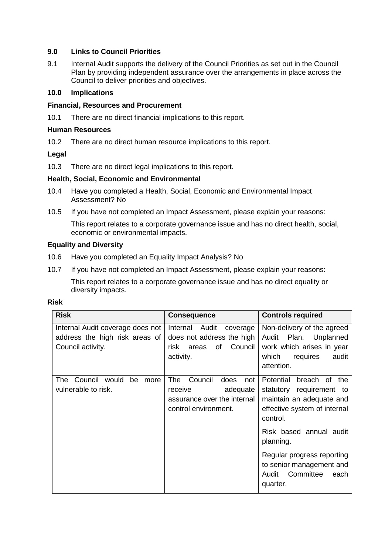## **9.0 Links to Council Priorities**

9.1 Internal Audit supports the delivery of the Council Priorities as set out in the Council Plan by providing independent assurance over the arrangements in place across the Council to deliver priorities and objectives.

## **10.0 Implications**

#### **Financial, Resources and Procurement**

10.1 There are no direct financial implications to this report.

#### **Human Resources**

10.2 There are no direct human resource implications to this report.

## **Legal**

10.3 There are no direct legal implications to this report.

#### **Health, Social, Economic and Environmental**

- 10.4 Have you completed a Health, Social, Economic and Environmental Impact Assessment? No
- 10.5 If you have not completed an Impact Assessment, please explain your reasons:

This report relates to a corporate governance issue and has no direct health, social, economic or environmental impacts.

## **Equality and Diversity**

- 10.6 Have you completed an Equality Impact Analysis? No
- 10.7 If you have not completed an Impact Assessment, please explain your reasons:

This report relates to a corporate governance issue and has no direct equality or diversity impacts.

| ×<br>٠<br>۰. |  |
|--------------|--|
|--------------|--|

| <b>Risk</b>                                                                             | <b>Consequence</b>                                                                                          | <b>Controls required</b>                                                                                                           |
|-----------------------------------------------------------------------------------------|-------------------------------------------------------------------------------------------------------------|------------------------------------------------------------------------------------------------------------------------------------|
| Internal Audit coverage does not<br>address the high risk areas of<br>Council activity. | Internal Audit<br>coverage<br>does not address the high<br>of<br>Council<br>risk<br>areas<br>activity.      | Non-delivery of the agreed<br>Plan.<br>Unplanned<br>Audit<br>work which arises in year<br>which<br>requires<br>audit<br>attention. |
| Council would<br>be<br>The<br>more<br>vulnerable to risk.                               | The<br>Council<br>does<br>not<br>adequate<br>receive<br>assurance over the internal<br>control environment. | Potential<br>breach of the<br>statutory requirement to<br>maintain an adequate and<br>effective system of internal<br>control.     |
|                                                                                         |                                                                                                             | Risk based annual audit<br>planning.                                                                                               |
|                                                                                         |                                                                                                             | Regular progress reporting<br>to senior management and<br>Committee<br>Audit<br>each<br>quarter.                                   |